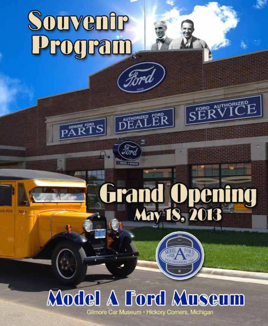# **Souvenir**<br>Program

**PART** 

**ND PUT** 

## **Grand Opening**<br>May 18, 2018

**MODE** 

**FORD AUTHORIZED** 

### **Model A Ford Museum**

**AUTHORIZED** 

**BODDER IN** 

Gilmore Car Museum · Hickory Corners, Michigan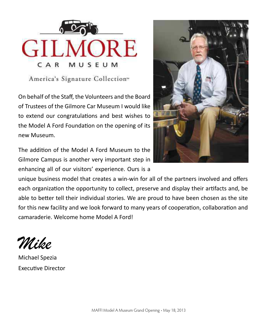

America's Signature Collection"

On behalf of the Staff, the Volunteers and the Board of Trustees of the Gilmore Car Museum I would like to extend our congratulations and best wishes to the Model A Ford Foundation on the opening of its new Museum.

The addition of the Model A Ford Museum to the Gilmore Campus is another very important step in enhancing all of our visitors' experience. Ours is a



unique business model that creates a win-win for all of the partners involved and offers each organization the opportunity to collect, preserve and display their artifacts and, be able to better tell their individual stories. We are proud to have been chosen as the site for this new facility and we look forward to many years of cooperation, collaboration and camaraderie. Welcome home Model A Ford!

Mike

Michael Spezia **Executive Director**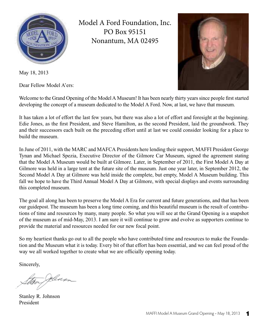

Model A Ford Foundation, Inc. PO Box 95151 Nonantum, MA 02495



May 18, 2013

Dear Fellow Model A'ers:

Welcome to the Grand Opening of the Model A Museum! It has been nearly thirty years since people first started developing the concept of a museum dedicated to the Model A Ford. Now, at last, we have that museum.

It has taken a lot of effort the last few years, but there was also a lot of effort and foresight at the beginning. Edie Jones, as the first President, and Steve Hamilton, as the second President, laid the groundwork. They and their successors each built on the preceding effort until at last we could consider looking for a place to build the museum.

In June of 2011, with the MARC and MAFCA Presidents here lending their support, MAFFI President George Tynan and Michael Spezia, Executive Director of the Gilmore Car Museum, signed the agreement stating that the Model A Museum would be built at Gilmore. Later, in September of 2011, the First Model A Day at Gilmore was held in a large tent at the future site of the museum. Just one year later, in September 2012, the Second Model A Day at Gilmore was held inside the complete, but empty, Model A Museum building. This fall we hope to have the Third Annual Model A Day at Gilmore, with special displays and events surrounding this completed museum.

The goal all along has been to preserve the Model A Era for current and future generations, and that has been our guidepost. The museum has been a long time coming, and this beautiful museum is the result of contributions of time and resources by many, many people. So what you will see at the Grand Opening is a snapshot of the museum as of mid-May, 2013. I am sure it will continue to grow and evolve as supporters continue to provide the material and resources needed for our new focal point.

So my heartiest thanks go out to all the people who have contributed time and resources to make the Foundation and the Museum what it is today. Every bit of that effort has been essential, and we can feel proud of the way we all worked together to create what we are officially opening today.

Sincerely,

Jelias

Stanley R. Johnson President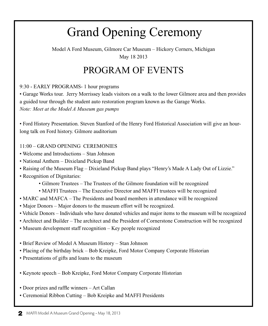#### Grand Opening Ceremony

Model A Ford Museum, Gilmore Car Museum – Hickory Corners, Michigan May 18 2013

#### PROGRAM OF EVENTS

9:30 - EARLY PROGRAMS- 1 hour programs

• Garage Works tour. Jerry Morrissey leads visitors on a walk to the lower Gilmore area and then provides a guided tour through the student auto restoration program known as the Garage Works. *Note: Meet at the Model A Museum gas pumps*

• Ford History Presentation. Steven Stanford of the Henry Ford Historical Association will give an hourlong talk on Ford history. Gilmore auditorium

11:00 – GRAND OPENING CEREMONIES

- Welcome and Introductions Stan Johnson
- National Anthem Dixieland Pickup Band
- Raising of the Museum Flag Dixieland Pickup Band plays "Henry's Made A Lady Out of Lizzie."
- Recognition of Dignitaries:
	- Gilmore Trustees The Trustees of the Gilmore foundation will be recognized
	- MAFFI Trustees The Executive Director and MAFFI trustees will be recognized
- MARC and MAFCA The Presidents and board members in attendance will be recognized
- Major Donors Major donors to the museum effort will be recognized.
- Vehicle Donors Individuals who have donated vehicles and major items to the museum will be recognized
- Architect and Builder The architect and the President of Cornerstone Construction will be recognized
- Museum development staff recognition Key people recognized
- Brief Review of Model A Museum History Stan Johnson
- Placing of the birthday brick Bob Kreipke, Ford Motor Company Corporate Historian
- Presentations of gifts and loans to the museum
- Keynote speech Bob Kreipke, Ford Motor Company Corporate Historian
- Door prizes and raffle winners Art Callan
- Ceremonial Ribbon Cutting Bob Kreipke and MAFFI Presidents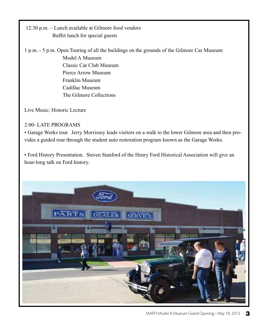12:30 p.m. – Lunch available at Gilmore food vendors Buffet lunch for special guests

1 p.m. - 5 p.m. Open Touring of all the buildings on the grounds of the Gilmore Car Museum: Model A Museum Classic Car Club Museum Pierce Arrow Museum Franklin Museum Cadillac Museum The Gilmore Collections

Live Music; Historic Lecture

#### 2:00- LATE PROGRAMS

• Garage Works tour. Jerry Morrissey leads visitors on a walk to the lower Gilmore area and then provides a guided tour through the student auto restoration program known as the Garage Works.

• Ford History Presentation. Steven Stanford of the Henry Ford Historical Association will give an hour-long talk on Ford history.

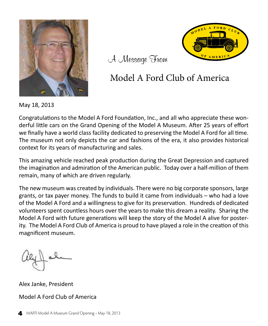



A Message From

#### Model A Ford Club of America

May 18, 2013

Congratulations to the Model A Ford Foundation, Inc., and all who appreciate these wonderful little cars on the Grand Opening of the Model A Museum. After 25 years of effort we finally have a world class facility dedicated to preserving the Model A Ford for all time. The museum not only depicts the car and fashions of the era, it also provides historical context for its years of manufacturing and sales.

This amazing vehicle reached peak production during the Great Depression and captured the imagination and admiration of the American public. Today over a half-million of them remain, many of which are driven regularly.

The new museum was created by individuals. There were no big corporate sponsors, large grants, or tax payer money. The funds to build it came from individuals – who had a love of the Model A Ford and a willingness to give for its preservation. Hundreds of dedicated volunteers spent countless hours over the years to make this dream a reality. Sharing the Model A Ford with future generations will keep the story of the Model A alive for posterity. The Model A Ford Club of America is proud to have played a role in the creation of this magnificent museum.

Alex Janke, President Model A Ford Club of America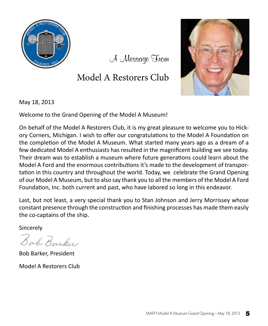

A Message From

#### Model A Restorers Club



May 18, 2013

Welcome to the Grand Opening of the Model A Museum!

On behalf of the Model A Restorers Club, it is my great pleasure to welcome you to Hickory Corners, Michigan. I wish to offer our congratulations to the Model A Foundation on the completion of the Model A Museum. What started many years ago as a dream of a few dedicated Model A enthusiasts has resulted in the magnificent building we see today. Their dream was to establish a museum where future generations could learn about the Model A Ford and the enormous contributions it's made to the development of transportation in this country and throughout the world. Today, we celebrate the Grand Opening of our Model A Museum, but to also say thank you to all the members of the Model A Ford Foundation, Inc. both current and past, who have labored so long in this endeavor.

Last, but not least, a very special thank you to Stan Johnson and Jerry Morrissey whose constant presence through the construction and finishing processes has made them easily the co-captains of the ship.

Sincerely

Bab Barber

**Bob Barker, President** 

Model A Restorers Club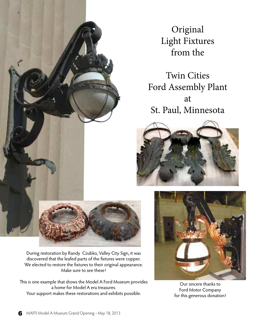

Original Light Fixtures from the

Twin Cities Ford Assembly Plant at St. Paul, Minnesota





During restoration by Randy Czubko, Valley City Sign, it was discovered that the leafed parts of the fixtures were copper. We elected to restore the fixtures to their original appearance. Make sure to see these!

his is one example that shows the Model A Ford Museum provides a home for Model A era treasures. Your support makes these restorations and exhibits possible.



Our sincere thanks to Ford Motor Company for this generous donation!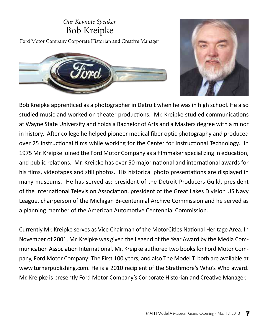#### Our Keynote Speaker **Bob Kreipke**

Ford Motor Company Corporate Historian and Creative Manager





Bob Kreipke apprenticed as a photographer in Detroit when he was in high school. He also studied music and worked on theater productions. Mr. Kreipke studied communications at Wayne State University and holds a Bachelor of Arts and a Masters degree with a minor in history. After college he helped pioneer medical fiber optic photography and produced over 25 instructional films while working for the Center for Instructional Technology. In 1975 Mr. Kreipke joined the Ford Motor Company as a filmmaker specializing in education, and public relations. Mr. Kreipke has over 50 major national and international awards for his films, videotapes and still photos. His historical photo presentations are displayed in many museums. He has served as: president of the Detroit Producers Guild, president of the International Television Association, president of the Great Lakes Division US Navy League, chairperson of the Michigan Bi-centennial Archive Commission and he served as a planning member of the American Automotive Centennial Commission.

Currently Mr. Kreipke serves as Vice Chairman of the MotorCities National Heritage Area. In November of 2001, Mr. Kreipke was given the Legend of the Year Award by the Media Communication Association International. Mr. Kreipke authored two books for Ford Motor Company, Ford Motor Company: The First 100 years, and also The Model T, both are available at www.turnerpublishing.com. He is a 2010 recipient of the Strathmore's Who's Who award. Mr. Kreipke is presently Ford Motor Company's Corporate Historian and Creative Manager.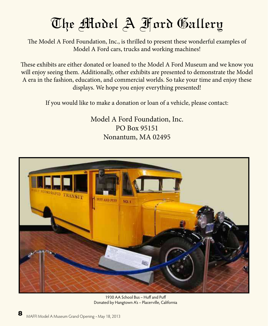

he Model A Ford Foundation, Inc., is thrilled to present these wonderful examples of Model A Ford cars, trucks and working machines!

hese exhibits are either donated or loaned to the Model A Ford Museum and we know you will enjoy seeing them. Additionally, other exhibits are presented to demonstrate the Model A era in the fashion, education, and commercial worlds. So take your time and enjoy these displays. We hope you enjoy everything presented!

If you would like to make a donation or loan of a vehicle, please contact:

Model A Ford Foundation, Inc. PO Box 95151 Nonantum, MA 02495



1930 AA School Bus - Huff and Puff Donated by Hangtown A's – Placerville, California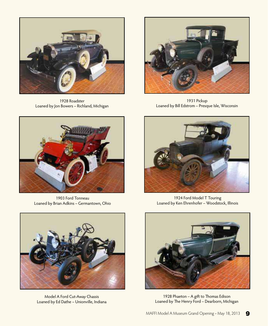

1928 Roadster Loaned by Jon Bowers – Richland, Michigan



1931 Pickup Loaned by Bill Edstrom – Presque Isle, Wisconsin



1903 Ford Tonneau Loaned by Brian Adkins – Germantown, Ohio



1924 Ford Model T Touring Loaned by Ken Ehrenhofer – Woodstock, Illinois



Model A Ford Cut-Away Chassis Loaned by Ed Dathe – Unionville, Indiana



1928 Phaeton – A gift to Thomas Edison Loaned by The Henry Ford – Dearborn, Michigan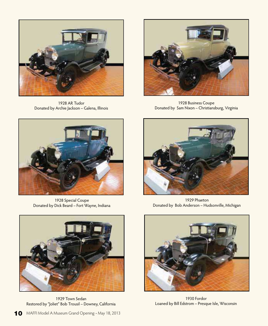

1928 AR Tudor Donated by Archie Jackson – Galena, Illinois



1928 Business Coupe Donated by Sam Nixon – Christiansburg, Virginia



1928 Special Coupe Donated by Dick Beard – Fort Wayne, Indiana



1929 Phaeton Donated by Bob Anderson – Hudsonville, Michigan



1929 Town Sedan Restored by "Joliet" Bob Trousil – Downey, California



1930 Fordor Loaned by Bill Edstrom – Presque Isle, Wisconsin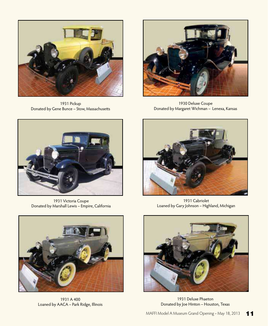

1931 Pickup Donated by Gene Bunce – Stow, Massachusets



1930 Deluxe Coupe Donated by Margaret Wichman – Lenexa, Kansas



1931 Victoria Coupe Donated by Marshall Lewis – Empire, California



1931 A 400 Loaned by AACA – Park Ridge, Illinois



1931 Cabriolet Loaned by Gary Johnson – Highland, Michigan



1931 Deluxe Phaeton Donated by Joe Hinton – Houston, Texas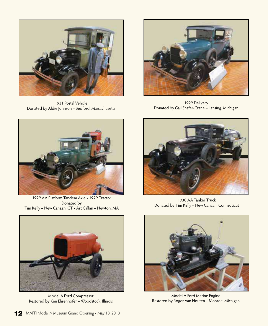

1931 Postal Vehicle Donated by Aldie Johnson – Bedford, Massachusets



1929 Delivery Donated by Gail Shafer-Crane – Lansing, Michigan



1929 AA Plaform Tandem Axle • 1929 Tractor Donated by Tim Kelly – New Canaan, CT • Art Callan – Newton, MA



Model A Ford Compressor Restored by Ken Ehrenhofer – Woodstock, Illinois



1930 AA Tanker Truck Donated by Tim Kelly – New Canaan, Connecticut



Model A Ford Marine Engine Restored by Roger Van Houten – Monroe, Michigan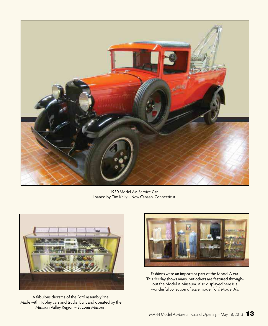

1930 Model AA Service Car Loaned by Tim Kelly – New Canaan, Connecticut



A fabulous diorama of the Ford assembly line. Made with Hubley cars and trucks. Built and donated by the Missouri Valley Region – St Louis Missouri.



Fashions were an important part of the Model A era. This display shows many, but others are featured throughout the Model A Museum. Also displayed here is a wonderful collection of scale model Ford Model A's.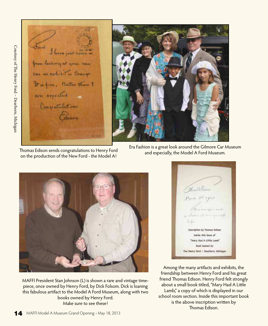Ford I have just come to from looking at your new can on exhibit in Orange It is fine. Postter than I ever expected Congretulations Comm



homas Edison sends congratulations to Henry Ford on the production of the New Ford - the Model A!

Era Fashion is a great look around the Gilmore Car Museum and especially, the Model A Ford Museum.



MAFFI President Stan Johnson (L) is shown a rare and vintage timepiece, once owned by Henry Ford, by Dick Folsom. Dick is loaning this fabulous artifact to the Model A Ford Museum, along with two books owned by Henry Ford. Make sure to see these!

Bouldtown  $\mathcal{Y}_{\mathbb{R}^{n+k}} \stackrel{y \downarrow}{\smile} \mathcal{Y}^{yy}$ Fourney and a chain at an questi Jije: **Znicription by Thomas Edison** lealde this losse of "Mary Hed A Little Lamb" Sook loosed by The Henry Ford - Deerborn, Michigan

Among the many artifacts and exhibits, the friendship between Henry Ford and his great friend Thomas Edison. Henry Ford felt strongly about a small book titled, "Mary Had A Litle Lamb," a copy of which is displayed in our school room section. Inside this important book is the above inscription writen by homas Edison.

Courtesy of he Henry Ford – Dearborn, Michigan

Courtesy of The Henry Ford - Dearborn, Michigan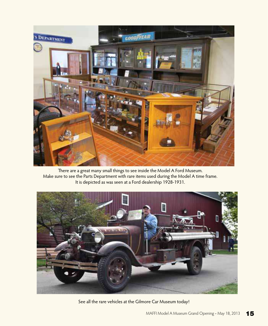

here are a great many small things to see inside the Model A Ford Museum. Make sure to see the Parts Department with rare items used during the Model A time frame. It is depicted as was seen at a Ford dealership 1928-1931.



See all the rare vehicles at the Gilmore Car Museum today!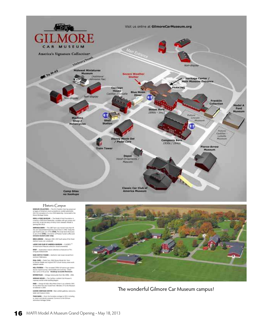

#### Historic Canpus

**EMPELHI COLLECTION** - The H.H. franklin Call has preserved to legacy of America's - The H.H. franklin Call automobile<br>When this recounting of America's successful air cooler automobile<br>When the recounting Canter.

**ADDIE, A PORD MISSINGH** - The Model A Real Reundation is according a 2325 Ford Dealership, complete with gas pumps and enough to the doop of many final to be stated A. Opening ane 2012

**JAMPANIA BARN** — This 2007 barn was moved more than 45 this, and reassersized board-by-board from in 1968. Today the term of boosts cars of the 1990s. The issue board phonon in the state of the 1990s. The issue board pho

**MIKCE ARROW** - Between 2003-2027 built see<br>interiors luxury cars produced.

3,4000 CAR CUIR OF AMERICA MUSEUM - CLASSICS TV

**RPOT** - Automative massat collection as featured on TV's<br>INTIQUES ROADSHOW:

WAS SWITCH TOWER - Authentic train tower moved from

**1004: CARS** - Pedal Cars, 1994 Disney Movie Set. from<br>The Greene-Mobile and original 1917 Lincoln factory stane work **Explayed duticale** 

**MILL STATION --** This recreated 2000s full-service gas station<br>returns original pumps, memorabilis and work lasy. Check<br>integrapics at the pumpt. **Mondicap accounts the fluctuation** 

ASTORCYCLES - himage motorcycles from the 1890s - 2006.

**JARRAGE HOUSE - The Cadillac-LuSale Club Museum's**<br>emposey exhibit while building begins.

**RNIK** -- George & Soly's Blue Moor Giner is an authentic 2342<br>26 City dines that was moved from Meniden, CT to the Museum<br>ed nationed in 2004.

**JUMORE HERETAGE CENTER** - Main exhibit galleries, resin<br>Nexter and maseum store.

**FOAM BARN** - From the horseless carriage to 2915, including<br>us, steam and electric powered. Connects to the Gilmore<br>Laternotive Heritage Center.



The wonderful Gilmore Car Museum campus!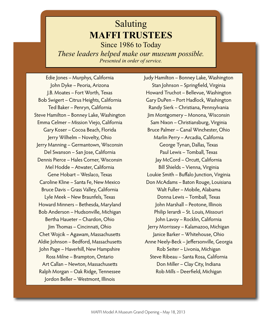#### Saluting **MAFFI TRUSTEES** Since 1986 to Today

*These leaders helped make our museum possible. Presented in order of service.*

Edie Jones – Murphys, California John Dyke – Peoria, Arizona J.B. Moates – Fort Worth, Texas Bob Swigert – Citrus Heights, California Ted Baker – Penryn, California Steve Hamilton – Bonney Lake, Washington Emma Celmer – Mission Viejo, California Gary Koser – Cocoa Beach, Florida Jerry Wilhelm – Novelty, Ohio Jerry Manning – Germantown, Wisconsin Del Swanson – San Jose, California Dennis Pierce – Hales Corner, Wisconsin Mel Hodde – Atwater, California Gene Hobart – Weslaco, Texas Caroline Kline – Santa Fe, New Mexico Bruce Davis – Grass Valley, California Lyle Meek – New Braunfels, Texas Howard Minners – Bethesda, Maryland Bob Anderson – Hudsonville, Michigan Bertha Haueter – Chardon, Ohio Jim homas – Cincinnati, Ohio Chet Wojcik – Agawam, Massachusets Aldie Johnson – Bedford, Massachusets John Page – Haverhill, New Hampshire Ross Milne – Brampton, Ontario Art Callan – Newton, Massachusets Ralph Morgan – Oak Ridge, Tennessee Jordon Beller – Westmont, Illinois

Judy Hamilton – Bonney Lake, Washington Stan Johnson – Springfield, Virginia Howard Truchot – Bellevue, Washington Gary DuPen – Port Hadlock, Washington Randy Sierk – Christiana, Pennsylvania Jim Montgomery – Monona, Wisconsin Sam Nixon – Christiansburg, Virginia Bruce Palmer – Canal Winchester, Ohio Marlin Perry – Arcadia, California George Tynan, Dallas, Texas Paul Lewis – Tomball, Texas Jay McCord - Orcutt, California Bill Shields – Vienna, Virginia Loukie Smith – Bufalo Junction, Virginia Don McAdams – Baton Rouge, Louisiana Walt Fuller – Mobile, Alabama Donna Lewis – Tomball, Texas John Marshall – Peotone, Illinois Philip Ierardi – St. Louis, Missouri John Lavoy – Rocklin, California Jerry Morrissey – Kalamazoo, Michigan Janice Barker – Whitehouse, Ohio Anne Neely-Beck - Jeffersonville, Georgia Rob Seiter – Livonia, Michigan Steve Ribeau – Santa Rosa, California Don Miller – Clay City, Indiana Rob Mills - Deerfield, Michigan